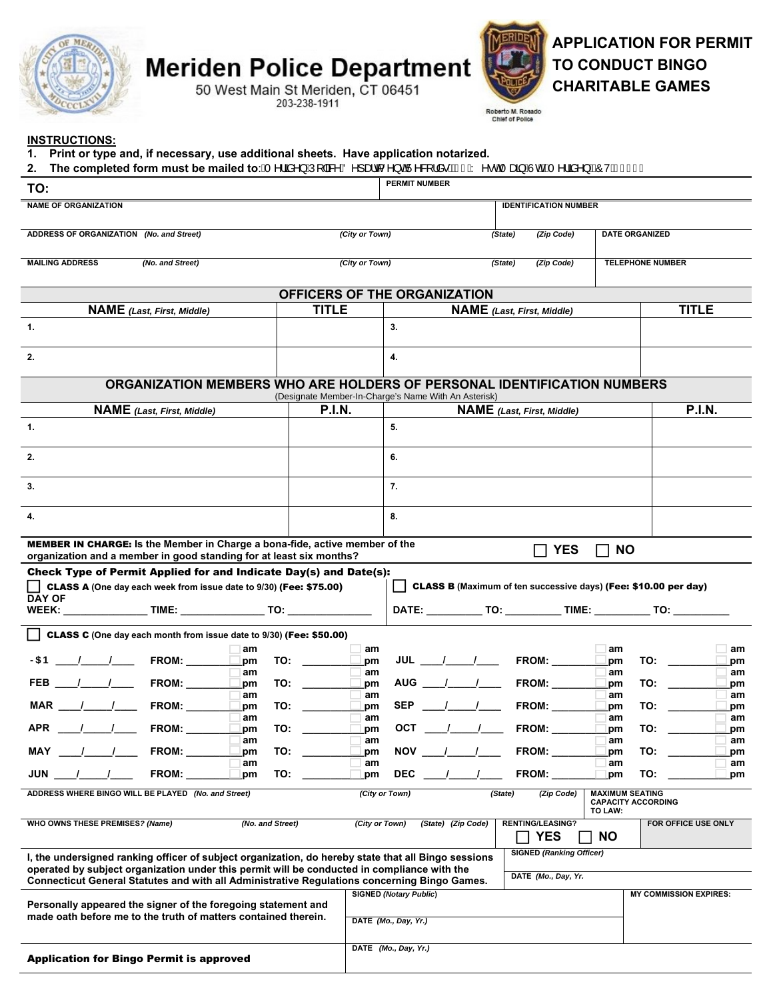

# **Meriden Police Department**<br>50 West Main St Meriden, CT 06451



# **APPLICATION FOR PERMIT TO CONDUCT BINGO CHARITABLE GAMES**

Roberto M. Rosado<br>Chief of Police

### **INSTRUCTIONS:**

| Print or type and, if necessary, use additional sheets. Have application notarized.<br>1.<br>The completed form must be mailed to: ÁT ^¦ãi^} ÁJ[  & ^AO^] aid ^} o AJ^&  ¦å e BÁ €ÁY ^ e o Tana AJd E T ^¦ãi^} BÔVÁE I Í F<br>2. |                                                                                                                                                                                                                                |                        |                     |                                                                        |                               |                                                                           |  |  |
|----------------------------------------------------------------------------------------------------------------------------------------------------------------------------------------------------------------------------------|--------------------------------------------------------------------------------------------------------------------------------------------------------------------------------------------------------------------------------|------------------------|---------------------|------------------------------------------------------------------------|-------------------------------|---------------------------------------------------------------------------|--|--|
| TO:                                                                                                                                                                                                                              |                                                                                                                                                                                                                                | <b>PERMIT NUMBER</b>   |                     |                                                                        |                               |                                                                           |  |  |
| <b>NAME OF ORGANIZATION</b>                                                                                                                                                                                                      |                                                                                                                                                                                                                                |                        |                     | <b>IDENTIFICATION NUMBER</b>                                           |                               |                                                                           |  |  |
| ADDRESS OF ORGANIZATION (No. and Street)                                                                                                                                                                                         |                                                                                                                                                                                                                                | (City or Town)         |                     | (Zip Code)<br><b>DATE ORGANIZED</b><br>(State)                         |                               |                                                                           |  |  |
| <b>MAILING ADDRESS</b><br>(No. and Street)                                                                                                                                                                                       |                                                                                                                                                                                                                                | (City or Town)         |                     | <b>TELEPHONE NUMBER</b><br>(State)<br>(Zip Code)                       |                               |                                                                           |  |  |
|                                                                                                                                                                                                                                  |                                                                                                                                                                                                                                |                        |                     |                                                                        |                               |                                                                           |  |  |
|                                                                                                                                                                                                                                  | OFFICERS OF THE ORGANIZATION                                                                                                                                                                                                   |                        |                     |                                                                        |                               |                                                                           |  |  |
| <b>NAME</b> (Last, First, Middle)                                                                                                                                                                                                | <b>TITLE</b>                                                                                                                                                                                                                   |                        |                     | <b>NAME</b> (Last, First, Middle)                                      |                               | <b>TITLE</b>                                                              |  |  |
| 1.                                                                                                                                                                                                                               |                                                                                                                                                                                                                                | 3.                     |                     |                                                                        |                               |                                                                           |  |  |
| 2.                                                                                                                                                                                                                               |                                                                                                                                                                                                                                | 4.                     |                     |                                                                        |                               |                                                                           |  |  |
| ORGANIZATION MEMBERS WHO ARE HOLDERS OF PERSONAL IDENTIFICATION NUMBERS<br>(Designate Member-In-Charge's Name With An Asterisk)                                                                                                  |                                                                                                                                                                                                                                |                        |                     |                                                                        |                               |                                                                           |  |  |
| <b>NAME</b> (Last, First, Middle)                                                                                                                                                                                                | <b>P.I.N.</b>                                                                                                                                                                                                                  |                        |                     | <b>NAME</b> (Last, First, Middle)                                      |                               | <b>P.I.N.</b>                                                             |  |  |
| -1.                                                                                                                                                                                                                              |                                                                                                                                                                                                                                | 5.                     |                     |                                                                        |                               |                                                                           |  |  |
| 2.                                                                                                                                                                                                                               |                                                                                                                                                                                                                                | 6.                     |                     |                                                                        |                               |                                                                           |  |  |
| 3.                                                                                                                                                                                                                               |                                                                                                                                                                                                                                | 7.                     |                     |                                                                        |                               |                                                                           |  |  |
| 4.                                                                                                                                                                                                                               |                                                                                                                                                                                                                                | 8.                     |                     |                                                                        |                               |                                                                           |  |  |
| <b>MEMBER IN CHARGE:</b> Is the Member in Charge a bona-fide, active member of the<br>organization and a member in good standing for at least six months?                                                                        |                                                                                                                                                                                                                                |                        |                     | <b>YES</b>                                                             | <b>NO</b>                     |                                                                           |  |  |
| Check Type of Permit Applied for and Indicate Day(s) and Date(s):                                                                                                                                                                |                                                                                                                                                                                                                                |                        |                     |                                                                        |                               |                                                                           |  |  |
| CLASS A (One day each week from issue date to 9/30) (Fee: \$75.00)<br>l 1                                                                                                                                                        |                                                                                                                                                                                                                                |                        |                     | <b>CLASS B</b> (Maximum of ten successive days) (Fee: \$10.00 per day) |                               |                                                                           |  |  |
| <b>DAY OF</b>                                                                                                                                                                                                                    |                                                                                                                                                                                                                                |                        |                     |                                                                        |                               | DATE: _____________ TO: _____________ TIME: ____________ TO: ____________ |  |  |
| CLASS C (One day each month from issue date to 9/30) (Fee: \$50.00)                                                                                                                                                              |                                                                                                                                                                                                                                |                        |                     |                                                                        |                               |                                                                           |  |  |
| am                                                                                                                                                                                                                               |                                                                                                                                                                                                                                | am                     |                     |                                                                        | am                            | am                                                                        |  |  |
| >5 B ___ /____ /_____ FROM: _______ __<br>.pm<br>am                                                                                                                                                                              |                                                                                                                                                                                                                                | pm<br>am               |                     | JUL ____/_____/_____ FROM: _________                                   | pm<br>am                      | TO:<br>pm<br>am                                                           |  |  |
| pm                                                                                                                                                                                                                               | TO: the contract of the contract of the contract of the contract of the contract of the contract of the contract of the contract of the contract of the contract of the contract of the contract of the contract of the contra | pm                     |                     | AUG ___ /____ /_____ FROM: ______                                      | pm                            | TO:<br>pm                                                                 |  |  |
| am<br>MAR<br>$\frac{1}{\sqrt{2}}$<br><b>FROM:</b><br>TO:<br>pm                                                                                                                                                                   |                                                                                                                                                                                                                                | am<br>pm               | SEP ____/_____/____ | FROM:                                                                  | am<br>pm                      | am<br>TO:<br>pm                                                           |  |  |
| am<br><b>FROM:</b><br><b>APR</b><br>TO:<br>pm                                                                                                                                                                                    |                                                                                                                                                                                                                                | am<br><b>OCT</b><br>pm |                     | <b>FROM:</b>                                                           | am<br>pm                      | am<br>TO:<br>pm                                                           |  |  |
| am<br>MAY<br><b>FROM:</b><br>TO:<br>pm                                                                                                                                                                                           |                                                                                                                                                                                                                                | am<br><b>NOV</b><br>pm |                     | <b>FROM:</b>                                                           | am<br>pm                      | am<br>TO:<br>pm                                                           |  |  |
| am<br>JUN<br><b>FROM:</b><br>TO:<br>pm                                                                                                                                                                                           |                                                                                                                                                                                                                                | am<br><b>DEC</b><br>pm |                     | FROM:                                                                  | am<br>pm                      | am<br>TO:<br>pm                                                           |  |  |
| ADDRESS WHERE BINGO WILL BE PLAYED (No. and Street)<br>(City or Town)<br><b>MAXIMUM SEATING</b><br>(State)<br>(Zip Code)<br><b>CAPACITY ACCORDING</b>                                                                            |                                                                                                                                                                                                                                |                        |                     |                                                                        |                               |                                                                           |  |  |
| WHO OWNS THESE PREMISES? (Name)<br>(No. and Street)                                                                                                                                                                              |                                                                                                                                                                                                                                | (City or Town)         | (State) (Zip Code)  | <b>RENTING/LEASING?</b>                                                | TO LAW:                       | FOR OFFICE USE ONLY                                                       |  |  |
|                                                                                                                                                                                                                                  |                                                                                                                                                                                                                                |                        |                     | <b>YES</b>                                                             | <b>NO</b>                     |                                                                           |  |  |
| I, the undersigned ranking officer of subject organization, do hereby state that all Bingo sessions<br>operated by subject organization under this permit will be conducted in compliance with the                               |                                                                                                                                                                                                                                |                        |                     | <b>SIGNED (Ranking Officer)</b>                                        |                               |                                                                           |  |  |
| DATE (Mo., Day, Yr.<br>Connecticut General Statutes and with all Administrative Regulations concerning Bingo Games.<br><b>SIGNED (Notary Public)</b>                                                                             |                                                                                                                                                                                                                                |                        |                     |                                                                        | <b>MY COMMISSION EXPIRES:</b> |                                                                           |  |  |
| Personally appeared the signer of the foregoing statement and<br>made oath before me to the truth of matters contained therein.                                                                                                  |                                                                                                                                                                                                                                | DATE (Mo., Day, Yr.)   |                     |                                                                        |                               |                                                                           |  |  |
|                                                                                                                                                                                                                                  |                                                                                                                                                                                                                                |                        |                     |                                                                        |                               |                                                                           |  |  |
| <b>Application for Bingo Permit is approved</b>                                                                                                                                                                                  |                                                                                                                                                                                                                                | DATE (Mo., Day, Yr.)   |                     |                                                                        |                               |                                                                           |  |  |